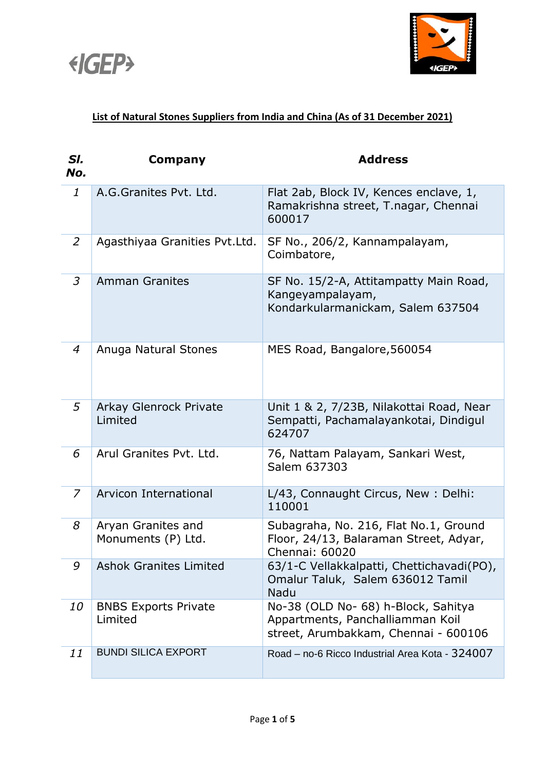



## **List of Natural Stones Suppliers from India and China (As of 31 December 2021)**

| SI.<br>No.     | Company                                  | <b>Address</b>                                                                                                  |
|----------------|------------------------------------------|-----------------------------------------------------------------------------------------------------------------|
| $\mathbf{1}$   | A.G.Granites Pvt. Ltd.                   | Flat 2ab, Block IV, Kences enclave, 1,<br>Ramakrishna street, T.nagar, Chennai<br>600017                        |
| 2              | Agasthiyaa Granities Pvt.Ltd.            | SF No., 206/2, Kannampalayam,<br>Coimbatore,                                                                    |
| 3              | <b>Amman Granites</b>                    | SF No. 15/2-A, Attitampatty Main Road,<br>Kangeyampalayam,<br>Kondarkularmanickam, Salem 637504                 |
| $\overline{4}$ | Anuga Natural Stones                     | MES Road, Bangalore, 560054                                                                                     |
| 5              | Arkay Glenrock Private<br>Limited        | Unit 1 & 2, 7/23B, Nilakottai Road, Near<br>Sempatti, Pachamalayankotai, Dindigul<br>624707                     |
| 6              | Arul Granites Pvt. Ltd.                  | 76, Nattam Palayam, Sankari West,<br>Salem 637303                                                               |
| $\overline{z}$ | Arvicon International                    | L/43, Connaught Circus, New: Delhi:<br>110001                                                                   |
| 8              | Aryan Granites and<br>Monuments (P) Ltd. | Subagraha, No. 216, Flat No.1, Ground<br>Floor, 24/13, Balaraman Street, Adyar,<br>Chennai: 60020               |
| 9              | <b>Ashok Granites Limited</b>            | 63/1-C Vellakkalpatti, Chettichavadi(PO),<br>Omalur Taluk, Salem 636012 Tamil<br>Nadu                           |
| 10             | <b>BNBS Exports Private</b><br>Limited   | No-38 (OLD No- 68) h-Block, Sahitya<br>Appartments, Panchalliamman Koil<br>street, Arumbakkam, Chennai - 600106 |
| 11             | <b>BUNDI SILICA EXPORT</b>               | Road - no-6 Ricco Industrial Area Kota - 324007                                                                 |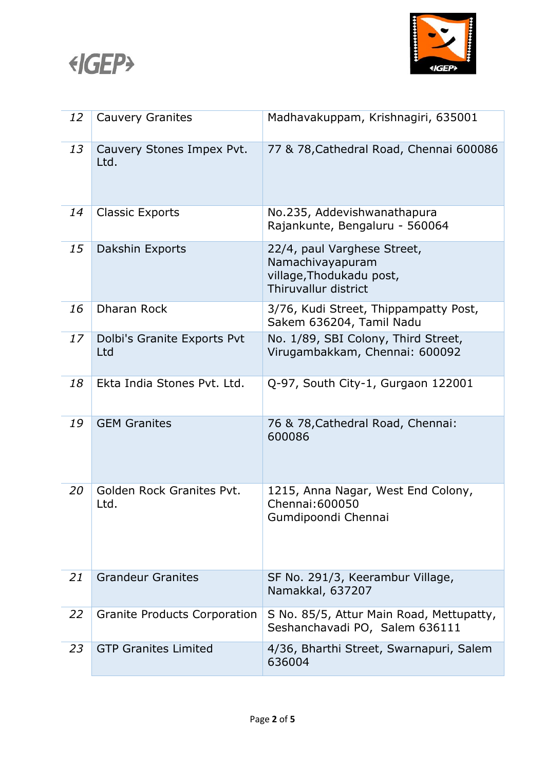



| 12 | <b>Cauvery Granites</b>            | Madhavakuppam, Krishnagiri, 635001                                                                  |
|----|------------------------------------|-----------------------------------------------------------------------------------------------------|
| 13 | Cauvery Stones Impex Pvt.<br>Ltd.  | 77 & 78, Cathedral Road, Chennai 600086                                                             |
| 14 | <b>Classic Exports</b>             | No.235, Addevishwanathapura<br>Rajankunte, Bengaluru - 560064                                       |
| 15 | Dakshin Exports                    | 22/4, paul Varghese Street,<br>Namachivayapuram<br>village, Thodukadu post,<br>Thiruvallur district |
| 16 | Dharan Rock                        | 3/76, Kudi Street, Thippampatty Post,<br>Sakem 636204, Tamil Nadu                                   |
| 17 | Dolbi's Granite Exports Pvt<br>Ltd | No. 1/89, SBI Colony, Third Street,<br>Virugambakkam, Chennai: 600092                               |
| 18 | Ekta India Stones Pvt. Ltd.        | Q-97, South City-1, Gurgaon 122001                                                                  |
| 19 | <b>GEM Granites</b>                | 76 & 78, Cathedral Road, Chennai:<br>600086                                                         |
| 20 | Golden Rock Granites Pvt.<br>Ltd.  | 1215, Anna Nagar, West End Colony,<br>Chennai: 600050<br>Gumdipoondi Chennai                        |
| 21 | <b>Grandeur Granites</b>           | SF No. 291/3, Keerambur Village,<br>Namakkal, 637207                                                |
| 22 | Granite Products Corporation       | S No. 85/5, Attur Main Road, Mettupatty,<br>Seshanchavadi PO, Salem 636111                          |
| 23 | <b>GTP Granites Limited</b>        | 4/36, Bharthi Street, Swarnapuri, Salem<br>636004                                                   |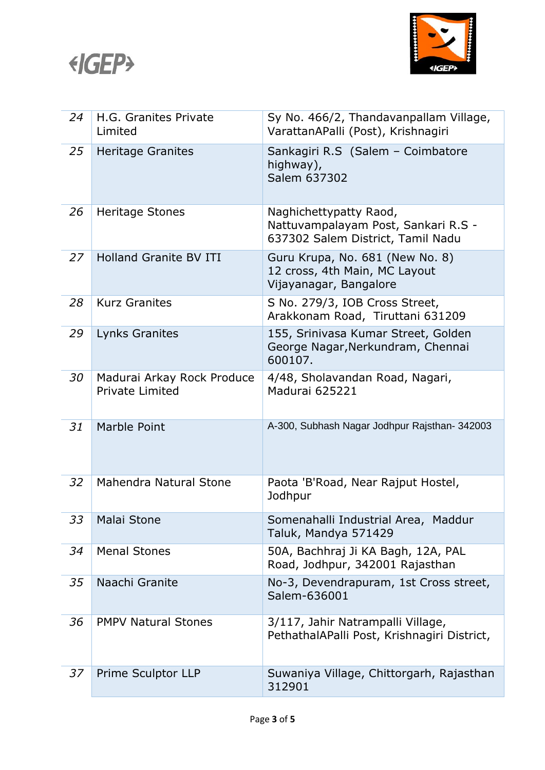



| 24 | H.G. Granites Private<br>Limited                     | Sy No. 466/2, Thandavanpallam Village,<br>VarattanAPalli (Post), Krishnagiri                       |
|----|------------------------------------------------------|----------------------------------------------------------------------------------------------------|
| 25 | <b>Heritage Granites</b>                             | Sankagiri R.S (Salem - Coimbatore<br>highway),<br>Salem 637302                                     |
| 26 | <b>Heritage Stones</b>                               | Naghichettypatty Raod,<br>Nattuvampalayam Post, Sankari R.S -<br>637302 Salem District, Tamil Nadu |
| 27 | <b>Holland Granite BV ITI</b>                        | Guru Krupa, No. 681 (New No. 8)<br>12 cross, 4th Main, MC Layout<br>Vijayanagar, Bangalore         |
| 28 | <b>Kurz Granites</b>                                 | S No. 279/3, IOB Cross Street,<br>Arakkonam Road, Tiruttani 631209                                 |
| 29 | Lynks Granites                                       | 155, Srinivasa Kumar Street, Golden<br>George Nagar, Nerkundram, Chennai<br>600107.                |
| 30 | Madurai Arkay Rock Produce<br><b>Private Limited</b> | 4/48, Sholavandan Road, Nagari,<br>Madurai 625221                                                  |
| 31 | Marble Point                                         | A-300, Subhash Nagar Jodhpur Rajsthan- 342003                                                      |
| 32 | Mahendra Natural Stone                               | Paota 'B'Road, Near Rajput Hostel,<br>Jodhpur                                                      |
| 33 | <b>Malai Stone</b>                                   | Somenahalli Industrial Area, Maddur<br>Taluk, Mandya 571429                                        |
| 34 | <b>Menal Stones</b>                                  | 50A, Bachhraj Ji KA Bagh, 12A, PAL<br>Road, Jodhpur, 342001 Rajasthan                              |
| 35 | Naachi Granite                                       | No-3, Devendrapuram, 1st Cross street,<br>Salem-636001                                             |
| 36 | <b>PMPV Natural Stones</b>                           | 3/117, Jahir Natrampalli Village,<br>PethathalAPalli Post, Krishnagiri District,                   |
| 37 | Prime Sculptor LLP                                   | Suwaniya Village, Chittorgarh, Rajasthan<br>312901                                                 |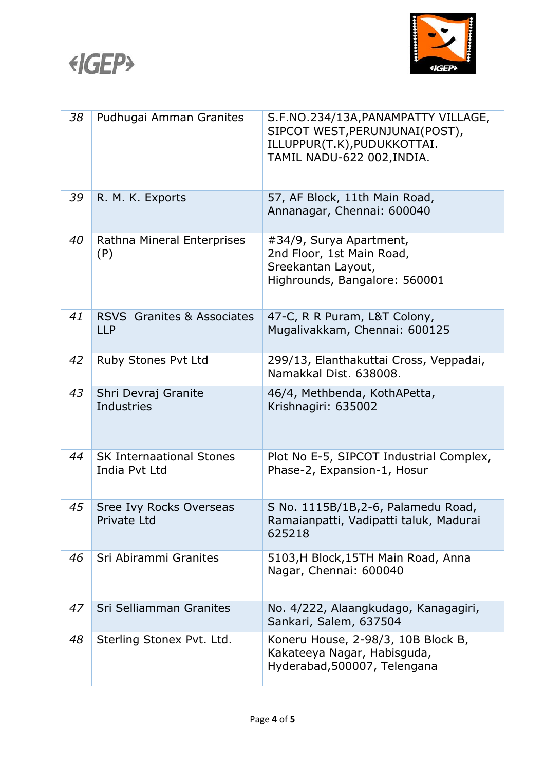



| 38 | Pudhugai Amman Granites                          | S.F.NO.234/13A, PANAMPATTY VILLAGE,<br>SIPCOT WEST, PERUNJUNAI (POST),<br>ILLUPPUR(T.K), PUDUKKOTTAI.<br>TAMIL NADU-622 002, INDIA. |
|----|--------------------------------------------------|-------------------------------------------------------------------------------------------------------------------------------------|
| 39 | R. M. K. Exports                                 | 57, AF Block, 11th Main Road,<br>Annanagar, Chennai: 600040                                                                         |
| 40 | Rathna Mineral Enterprises<br>(P)                | #34/9, Surya Apartment,<br>2nd Floor, 1st Main Road,<br>Sreekantan Layout,<br>Highrounds, Bangalore: 560001                         |
| 41 | <b>RSVS</b> Granites & Associates<br><b>LLP</b>  | 47-C, R R Puram, L&T Colony,<br>Mugalivakkam, Chennai: 600125                                                                       |
| 42 | Ruby Stones Pvt Ltd                              | 299/13, Elanthakuttai Cross, Veppadai,<br>Namakkal Dist. 638008.                                                                    |
| 43 | Shri Devraj Granite<br>Industries                | 46/4, Methbenda, KothAPetta,<br>Krishnagiri: 635002                                                                                 |
| 44 | <b>SK Internaational Stones</b><br>India Pyt Ltd | Plot No E-5, SIPCOT Industrial Complex,<br>Phase-2, Expansion-1, Hosur                                                              |
| 45 | Sree Ivy Rocks Overseas<br>Private Ltd           | S No. 1115B/1B, 2-6, Palamedu Road,<br>Ramaianpatti, Vadipatti taluk, Madurai<br>625218                                             |
| 46 | Sri Abirammi Granites                            | 5103, H Block, 15TH Main Road, Anna<br>Nagar, Chennai: 600040                                                                       |
| 47 | Sri Selliamman Granites                          | No. 4/222, Alaangkudago, Kanagagiri,<br>Sankari, Salem, 637504                                                                      |
| 48 | Sterling Stonex Pvt. Ltd.                        | Koneru House, 2-98/3, 10B Block B,<br>Kakateeya Nagar, Habisguda,<br>Hyderabad, 500007, Telengana                                   |